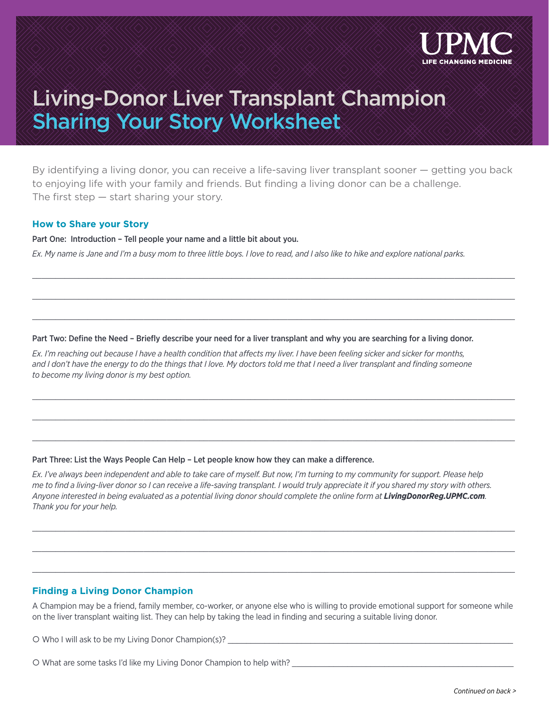

# Living-Donor Liver Transplant Champion Sharing Your Story Worksheet

By identifying a living donor, you can receive a life-saving liver transplant sooner — getting you back to enjoying life with your family and friends. But finding a living donor can be a challenge. The first step  $-$  start sharing your story.

 $\_$  , and the set of the set of the set of the set of the set of the set of the set of the set of the set of the set of the set of the set of the set of the set of the set of the set of the set of the set of the set of th

 $\_$  , and the set of the set of the set of the set of the set of the set of the set of the set of the set of the set of the set of the set of the set of the set of the set of the set of the set of the set of the set of th

 $\_$  , and the set of the set of the set of the set of the set of the set of the set of the set of the set of the set of the set of the set of the set of the set of the set of the set of the set of the set of the set of th

 $\_$  , and the set of the set of the set of the set of the set of the set of the set of the set of the set of the set of the set of the set of the set of the set of the set of the set of the set of the set of the set of th

 $\_$  , and the set of the set of the set of the set of the set of the set of the set of the set of the set of the set of the set of the set of the set of the set of the set of the set of the set of the set of the set of th

 $\_$  , and the set of the set of the set of the set of the set of the set of the set of the set of the set of the set of the set of the set of the set of the set of the set of the set of the set of the set of the set of th

### **How to Share your Story**

Part One: Introduction – Tell people your name and a little bit about you.

*Ex. My name is Jane and I'm a busy mom to three little boys. I love to read, and I also like to hike and explore national parks.*

#### Part Two: Define the Need – Briefly describe your need for a liver transplant and why you are searching for a living donor.

*Ex. I'm reaching out because I have a health condition that affects my liver. I have been feeling sicker and sicker for months,*  and I don't have the energy to do the things that I love. My doctors told me that I need a liver transplant and finding someone *to become my living donor is my best option.*

#### Part Three: List the Ways People Can Help – Let people know how they can make a difference.

*Ex. I've always been independent and able to take care of myself. But now, I'm turning to my community for support. Please help me to find a living-liver donor so I can receive a life-saving transplant. I would truly appreciate it if you shared my story with others. Anyone interested in being evaluated as a potential living donor should complete the online form at LivingDonorReg.UPMC.com. Thank you for your help.*

## **Finding a Living Donor Champion**

A Champion may be a friend, family member, co-worker, or anyone else who is willing to provide emotional support for someone while on the liver transplant waiting list. They can help by taking the lead in finding and securing a suitable living donor.

 $\_$  , and the set of the set of the set of the set of the set of the set of the set of the set of the set of the set of the set of the set of the set of the set of the set of the set of the set of the set of the set of th

 $\_$  , and the set of the set of the set of the set of the set of the set of the set of the set of the set of the set of the set of the set of the set of the set of the set of the set of the set of the set of the set of th

 $\_$  , and the set of the set of the set of the set of the set of the set of the set of the set of the set of the set of the set of the set of the set of the set of the set of the set of the set of the set of the set of th

O Who I will ask to be my Living Donor Champion(s)? \_\_\_\_\_\_\_\_\_\_\_\_\_\_\_\_\_\_\_\_\_\_\_\_\_\_\_\_

O What are some tasks I'd like my Living Donor Champion to help with?